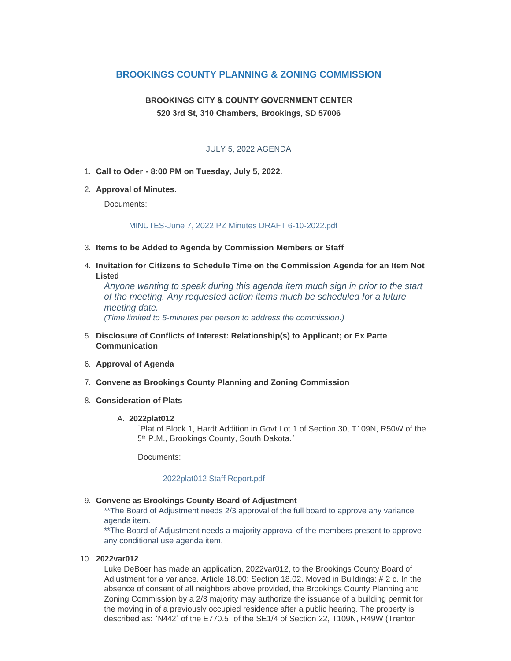## **BROOKINGS COUNTY PLANNING & ZONING COMMISSION**

# **BROOKINGS CITY & COUNTY GOVERNMENT CENTER 520 3rd St, 310 Chambers, Brookings, SD 57006**

### JULY 5, 2022 AGENDA

- **Call to Oder 8:00 PM on Tuesday, July 5, 2022.** 1.
- **Approval of Minutes.** 2.

Documents:

#### [MINUTES-June 7, 2022 PZ Minutes DRAFT 6-10-2022.pdf](http://www.brookingscountysd.gov/AgendaCenter/ViewFile/Item/12474?fileID=10409)

- **Items to be Added to Agenda by Commission Members or Staff** 3.
- **Invitation for Citizens to Schedule Time on the Commission Agenda for an Item Not**  4. **Listed**

*Anyone wanting to speak during this agenda item much sign in prior to the start of the meeting. Any requested action items much be scheduled for a future meeting date. (Time limited to 5-minutes per person to address the commission.)*

- **Disclosure of Conflicts of Interest: Relationship(s) to Applicant; or Ex Parte**  5. **Communication**
- **Approval of Agenda** 6.
- **Convene as Brookings County Planning and Zoning Commission** 7.
- **Consideration of Plats** 8.

#### **2022plat012** A.

"Plat of Block 1, Hardt Addition in Govt Lot 1 of Section 30, T109N, R50W of the 5<sup>th</sup> P.M., Brookings County, South Dakota."

Documents:

#### [2022plat012 Staff Report.pdf](http://www.brookingscountysd.gov/AgendaCenter/ViewFile/Item/12470?fileID=10410)

#### **Convene as Brookings County Board of Adjustment** 9.

\*\*The Board of Adjustment needs 2/3 approval of the full board to approve any variance agenda item.

\*\*The Board of Adjustment needs a majority approval of the members present to approve any conditional use agenda item.

#### **2022var012** 10.

Luke DeBoer has made an application, 2022var012, to the Brookings County Board of Adjustment for a variance. Article 18.00: Section 18.02. Moved in Buildings: # 2 c. In the absence of consent of all neighbors above provided, the Brookings County Planning and Zoning Commission by a 2/3 majority may authorize the issuance of a building permit for the moving in of a previously occupied residence after a public hearing. The property is described as: "N442' of the E770.5' of the SE1/4 of Section 22, T109N, R49W (Trenton